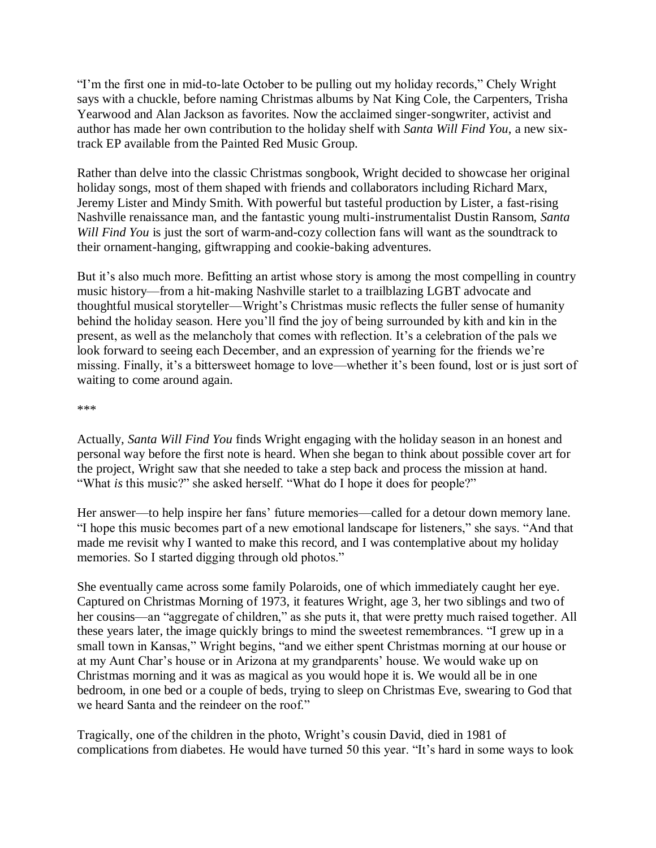"I'm the first one in mid-to-late October to be pulling out my holiday records," Chely Wright says with a chuckle, before naming Christmas albums by Nat King Cole, the Carpenters, Trisha Yearwood and Alan Jackson as favorites. Now the acclaimed singer-songwriter, activist and author has made her own contribution to the holiday shelf with *Santa Will Find You*, a new sixtrack EP available from the Painted Red Music Group.

Rather than delve into the classic Christmas songbook, Wright decided to showcase her original holiday songs, most of them shaped with friends and collaborators including Richard Marx, Jeremy Lister and Mindy Smith. With powerful but tasteful production by Lister, a fast-rising Nashville renaissance man, and the fantastic young multi-instrumentalist Dustin Ransom, *Santa Will Find You* is just the sort of warm-and-cozy collection fans will want as the soundtrack to their ornament-hanging, giftwrapping and cookie-baking adventures.

But it's also much more. Befitting an artist whose story is among the most compelling in country music history—from a hit-making Nashville starlet to a trailblazing LGBT advocate and thoughtful musical storyteller—Wright's Christmas music reflects the fuller sense of humanity behind the holiday season. Here you'll find the joy of being surrounded by kith and kin in the present, as well as the melancholy that comes with reflection. It's a celebration of the pals we look forward to seeing each December, and an expression of yearning for the friends we're missing. Finally, it's a bittersweet homage to love—whether it's been found, lost or is just sort of waiting to come around again.

## \*\*\*

Actually, *Santa Will Find You* finds Wright engaging with the holiday season in an honest and personal way before the first note is heard. When she began to think about possible cover art for the project, Wright saw that she needed to take a step back and process the mission at hand. "What *is* this music?" she asked herself. "What do I hope it does for people?"

Her answer—to help inspire her fans' future memories—called for a detour down memory lane. "I hope this music becomes part of a new emotional landscape for listeners," she says. "And that made me revisit why I wanted to make this record, and I was contemplative about my holiday memories. So I started digging through old photos."

She eventually came across some family Polaroids, one of which immediately caught her eye. Captured on Christmas Morning of 1973, it features Wright, age 3, her two siblings and two of her cousins—an "aggregate of children," as she puts it, that were pretty much raised together. All these years later, the image quickly brings to mind the sweetest remembrances. "I grew up in a small town in Kansas," Wright begins, "and we either spent Christmas morning at our house or at my Aunt Char's house or in Arizona at my grandparents' house. We would wake up on Christmas morning and it was as magical as you would hope it is. We would all be in one bedroom, in one bed or a couple of beds, trying to sleep on Christmas Eve, swearing to God that we heard Santa and the reindeer on the roof."

Tragically, one of the children in the photo, Wright's cousin David, died in 1981 of complications from diabetes. He would have turned 50 this year. "It's hard in some ways to look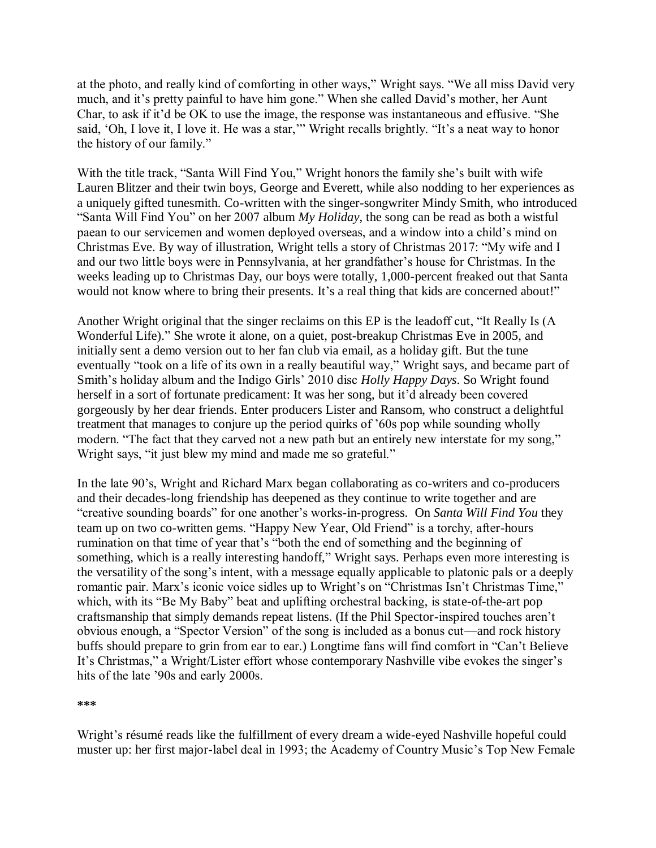at the photo, and really kind of comforting in other ways," Wright says. "We all miss David very much, and it's pretty painful to have him gone." When she called David's mother, her Aunt Char, to ask if it'd be OK to use the image, the response was instantaneous and effusive. "She said, 'Oh, I love it, I love it. He was a star,'" Wright recalls brightly. "It's a neat way to honor the history of our family."

With the title track, "Santa Will Find You," Wright honors the family she's built with wife Lauren Blitzer and their twin boys, George and Everett, while also nodding to her experiences as a uniquely gifted tunesmith. Co-written with the singer-songwriter Mindy Smith, who introduced "Santa Will Find You" on her 2007 album *My Holiday*, the song can be read as both a wistful paean to our servicemen and women deployed overseas, and a window into a child's mind on Christmas Eve. By way of illustration, Wright tells a story of Christmas 2017: "My wife and I and our two little boys were in Pennsylvania, at her grandfather's house for Christmas. In the weeks leading up to Christmas Day, our boys were totally, 1,000-percent freaked out that Santa would not know where to bring their presents. It's a real thing that kids are concerned about!"

Another Wright original that the singer reclaims on this EP is the leadoff cut, "It Really Is (A Wonderful Life)." She wrote it alone, on a quiet, post-breakup Christmas Eve in 2005, and initially sent a demo version out to her fan club via email, as a holiday gift. But the tune eventually "took on a life of its own in a really beautiful way," Wright says, and became part of Smith's holiday album and the Indigo Girls' 2010 disc *Holly Happy Days*. So Wright found herself in a sort of fortunate predicament: It was her song, but it'd already been covered gorgeously by her dear friends. Enter producers Lister and Ransom, who construct a delightful treatment that manages to conjure up the period quirks of '60s pop while sounding wholly modern. "The fact that they carved not a new path but an entirely new interstate for my song," Wright says, "it just blew my mind and made me so grateful."

In the late 90's, Wright and Richard Marx began collaborating as co-writers and co-producers and their decades-long friendship has deepened as they continue to write together and are "creative sounding boards" for one another's works-in-progress. On *Santa Will Find You* they team up on two co-written gems. "Happy New Year, Old Friend" is a torchy, after-hours rumination on that time of year that's "both the end of something and the beginning of something, which is a really interesting handoff," Wright says. Perhaps even more interesting is the versatility of the song's intent, with a message equally applicable to platonic pals or a deeply romantic pair. Marx's iconic voice sidles up to Wright's on "Christmas Isn't Christmas Time," which, with its "Be My Baby" beat and uplifting orchestral backing, is state-of-the-art pop craftsmanship that simply demands repeat listens. (If the Phil Spector-inspired touches aren't obvious enough, a "Spector Version" of the song is included as a bonus cut—and rock history buffs should prepare to grin from ear to ear.) Longtime fans will find comfort in "Can't Believe It's Christmas," a Wright/Lister effort whose contemporary Nashville vibe evokes the singer's hits of the late '90s and early 2000s.

**\*\*\***

Wright's résumé reads like the fulfillment of every dream a wide-eyed Nashville hopeful could muster up: her first major-label deal in 1993; the Academy of Country Music's Top New Female